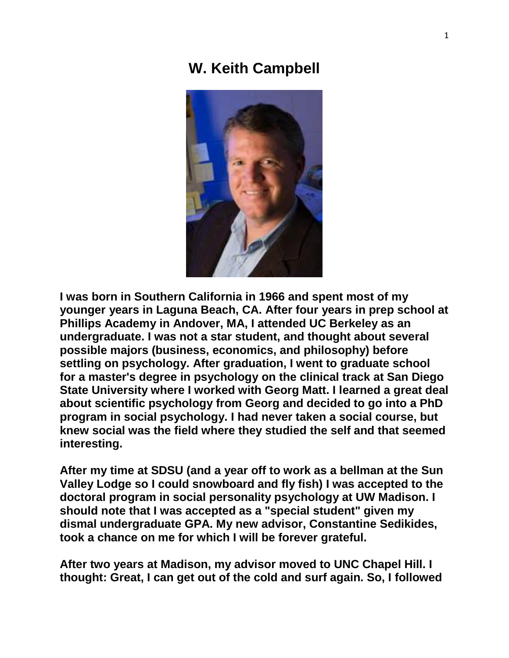## **W. Keith Campbell**



**I was born in Southern California in 1966 and spent most of my younger years in Laguna Beach, CA. After four years in prep school at Phillips Academy in Andover, MA, I attended UC Berkeley as an undergraduate. I was not a star student, and thought about several possible majors (business, economics, and philosophy) before settling on psychology. After graduation, I went to graduate school for a master's degree in psychology on the clinical track at San Diego State University where I worked with Georg Matt. I learned a great deal about scientific psychology from Georg and decided to go into a PhD program in social psychology. I had never taken a social course, but knew social was the field where they studied the self and that seemed interesting.**

**After my time at SDSU (and a year off to work as a bellman at the Sun Valley Lodge so I could snowboard and fly fish) I was accepted to the doctoral program in social personality psychology at UW Madison. I should note that I was accepted as a "special student" given my dismal undergraduate GPA. My new advisor, Constantine Sedikides, took a chance on me for which I will be forever grateful.**

**After two years at Madison, my advisor moved to UNC Chapel Hill. I thought: Great, I can get out of the cold and surf again. So, I followed**